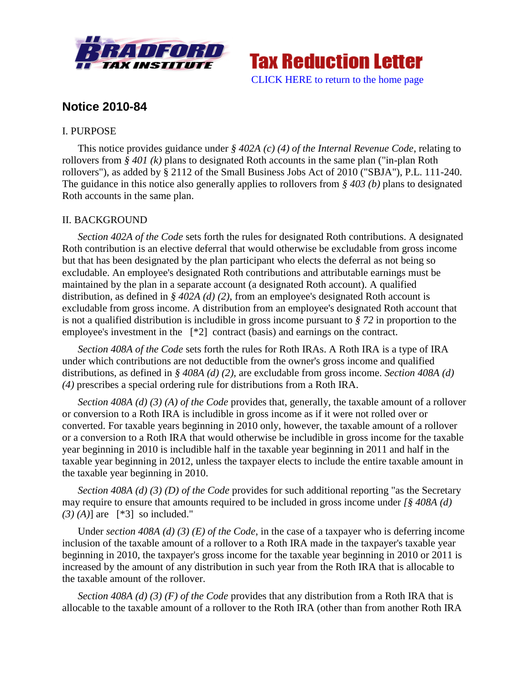



# **Notice 2010-84**

## I. PURPOSE

This notice provides guidance under *§ 402A (c) (4) of the Internal Revenue Code*, relating to rollovers from *§ 401 (k)* plans to designated Roth accounts in the same plan ("in-plan Roth rollovers"), as added by § 2112 of the Small Business Jobs Act of 2010 ("SBJA"), P.L. 111-240. The guidance in this notice also generally applies to rollovers from *§ 403 (b)* plans to designated Roth accounts in the same plan.

### II. BACKGROUND

*Section 402A of the Code* sets forth the rules for designated Roth contributions. A designated Roth contribution is an elective deferral that would otherwise be excludable from gross income but that has been designated by the plan participant who elects the deferral as not being so excludable. An employee's designated Roth contributions and attributable earnings must be maintained by the plan in a separate account (a designated Roth account). A qualified distribution, as defined in *§ 402A (d) (2)*, from an employee's designated Roth account is excludable from gross income. A distribution from an employee's designated Roth account that is not a qualified distribution is includible in gross income pursuant to *§ 72* in proportion to the employee's investment in the [\*2] contract (basis) and earnings on the contract.

*Section 408A of the Code* sets forth the rules for Roth IRAs. A Roth IRA is a type of IRA under which contributions are not deductible from the owner's gross income and qualified distributions, as defined in *§ 408A (d) (2)*, are excludable from gross income. *Section 408A (d) (4)* prescribes a special ordering rule for distributions from a Roth IRA.

*Section 408A (d) (3) (A) of the Code* provides that, generally, the taxable amount of a rollover or conversion to a Roth IRA is includible in gross income as if it were not rolled over or converted. For taxable years beginning in 2010 only, however, the taxable amount of a rollover or a conversion to a Roth IRA that would otherwise be includible in gross income for the taxable year beginning in 2010 is includible half in the taxable year beginning in 2011 and half in the taxable year beginning in 2012, unless the taxpayer elects to include the entire taxable amount in the taxable year beginning in 2010.

*Section 408A (d) (3) (D) of the Code* provides for such additional reporting "as the Secretary may require to ensure that amounts required to be included in gross income under *[§ 408A (d) (3) (A)*] are [\*3] so included."

Under *section 408A (d) (3) (E) of the Code*, in the case of a taxpayer who is deferring income inclusion of the taxable amount of a rollover to a Roth IRA made in the taxpayer's taxable year beginning in 2010, the taxpayer's gross income for the taxable year beginning in 2010 or 2011 is increased by the amount of any distribution in such year from the Roth IRA that is allocable to the taxable amount of the rollover.

*Section 408A (d) (3) (F) of the Code* provides that any distribution from a Roth IRA that is allocable to the taxable amount of a rollover to the Roth IRA (other than from another Roth IRA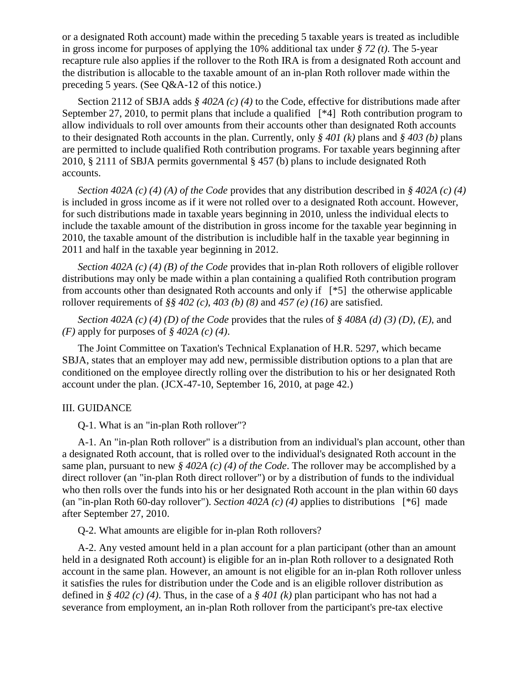or a designated Roth account) made within the preceding 5 taxable years is treated as includible in gross income for purposes of applying the 10% additional tax under *§ 72 (t)*. The 5-year recapture rule also applies if the rollover to the Roth IRA is from a designated Roth account and the distribution is allocable to the taxable amount of an in-plan Roth rollover made within the preceding 5 years. (See Q&A-12 of this notice.)

Section 2112 of SBJA adds *§ 402A (c) (4)* to the Code, effective for distributions made after September 27, 2010, to permit plans that include a qualified [\*4] Roth contribution program to allow individuals to roll over amounts from their accounts other than designated Roth accounts to their designated Roth accounts in the plan. Currently, only *§ 401 (k)* plans and *§ 403 (b)* plans are permitted to include qualified Roth contribution programs. For taxable years beginning after 2010, § 2111 of SBJA permits governmental § 457 (b) plans to include designated Roth accounts.

*Section 402A (c) (4) (A) of the Code* provides that any distribution described in *§ 402A (c) (4)* is included in gross income as if it were not rolled over to a designated Roth account. However, for such distributions made in taxable years beginning in 2010, unless the individual elects to include the taxable amount of the distribution in gross income for the taxable year beginning in 2010, the taxable amount of the distribution is includible half in the taxable year beginning in 2011 and half in the taxable year beginning in 2012.

*Section 402A (c) (4) (B) of the Code* provides that in-plan Roth rollovers of eligible rollover distributions may only be made within a plan containing a qualified Roth contribution program from accounts other than designated Roth accounts and only if [\*5] the otherwise applicable rollover requirements of *§§ 402 (c)*, *403 (b) (8)* and *457 (e) (16)* are satisfied.

*Section 402A (c) (4) (D) of the Code* provides that the rules of *§ 408A (d) (3) (D)*, *(E)*, and *(F)* apply for purposes of *§ 402A (c) (4)*.

The Joint Committee on Taxation's Technical Explanation of H.R. 5297, which became SBJA, states that an employer may add new, permissible distribution options to a plan that are conditioned on the employee directly rolling over the distribution to his or her designated Roth account under the plan. (JCX-47-10, September 16, 2010, at page 42.)

#### III. GUIDANCE

Q-1. What is an "in-plan Roth rollover"?

A-1. An "in-plan Roth rollover" is a distribution from an individual's plan account, other than a designated Roth account, that is rolled over to the individual's designated Roth account in the same plan, pursuant to new *§ 402A (c) (4) of the Code*. The rollover may be accomplished by a direct rollover (an "in-plan Roth direct rollover") or by a distribution of funds to the individual who then rolls over the funds into his or her designated Roth account in the plan within 60 days (an "in-plan Roth 60-day rollover"). *Section 402A (c) (4)* applies to distributions [\*6] made after September 27, 2010.

Q-2. What amounts are eligible for in-plan Roth rollovers?

A-2. Any vested amount held in a plan account for a plan participant (other than an amount held in a designated Roth account) is eligible for an in-plan Roth rollover to a designated Roth account in the same plan. However, an amount is not eligible for an in-plan Roth rollover unless it satisfies the rules for distribution under the Code and is an eligible rollover distribution as defined in *§ 402 (c) (4)*. Thus, in the case of a *§ 401 (k)* plan participant who has not had a severance from employment, an in-plan Roth rollover from the participant's pre-tax elective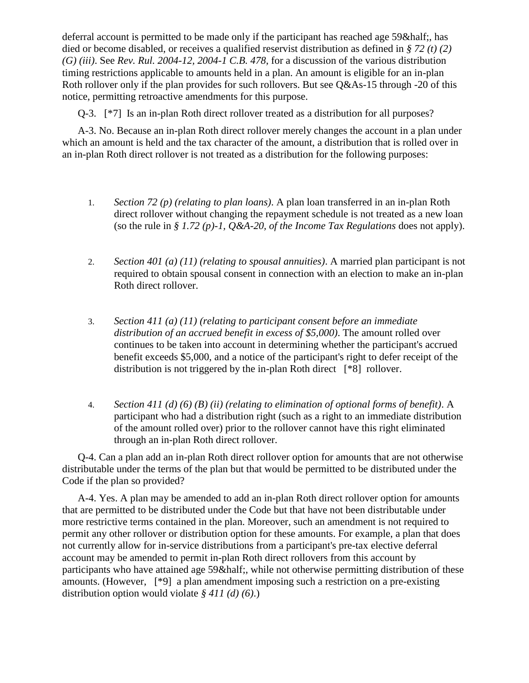deferral account is permitted to be made only if the participant has reached age 59& half; has died or become disabled, or receives a qualified reservist distribution as defined in *§ 72 (t) (2) (G) (iii)*. See *Rev. Rul. 2004-12, 2004-1 C.B. 478*, for a discussion of the various distribution timing restrictions applicable to amounts held in a plan. An amount is eligible for an in-plan Roth rollover only if the plan provides for such rollovers. But see Q&As-15 through -20 of this notice, permitting retroactive amendments for this purpose.

Q-3. [\*7] Is an in-plan Roth direct rollover treated as a distribution for all purposes?

A-3. No. Because an in-plan Roth direct rollover merely changes the account in a plan under which an amount is held and the tax character of the amount, a distribution that is rolled over in an in-plan Roth direct rollover is not treated as a distribution for the following purposes:

- 1. *Section 72 (p) (relating to plan loans)*. A plan loan transferred in an in-plan Roth direct rollover without changing the repayment schedule is not treated as a new loan (so the rule in *§ 1.72 (p)-1, Q&A-20, of the Income Tax Regulations* does not apply).
- 2. *Section 401 (a) (11) (relating to spousal annuities)*. A married plan participant is not required to obtain spousal consent in connection with an election to make an in-plan Roth direct rollover.
- 3. *Section 411 (a) (11) (relating to participant consent before an immediate distribution of an accrued benefit in excess of \$5,000)*. The amount rolled over continues to be taken into account in determining whether the participant's accrued benefit exceeds \$5,000, and a notice of the participant's right to defer receipt of the distribution is not triggered by the in-plan Roth direct [\*8] rollover.
- 4. *Section 411 (d) (6) (B) (ii) (relating to elimination of optional forms of benefit)*. A participant who had a distribution right (such as a right to an immediate distribution of the amount rolled over) prior to the rollover cannot have this right eliminated through an in-plan Roth direct rollover.

Q-4. Can a plan add an in-plan Roth direct rollover option for amounts that are not otherwise distributable under the terms of the plan but that would be permitted to be distributed under the Code if the plan so provided?

A-4. Yes. A plan may be amended to add an in-plan Roth direct rollover option for amounts that are permitted to be distributed under the Code but that have not been distributable under more restrictive terms contained in the plan. Moreover, such an amendment is not required to permit any other rollover or distribution option for these amounts. For example, a plan that does not currently allow for in-service distributions from a participant's pre-tax elective deferral account may be amended to permit in-plan Roth direct rollovers from this account by participants who have attained age 59½, while not otherwise permitting distribution of these amounts. (However, [\*9] a plan amendment imposing such a restriction on a pre-existing distribution option would violate *§ 411 (d) (6)*.)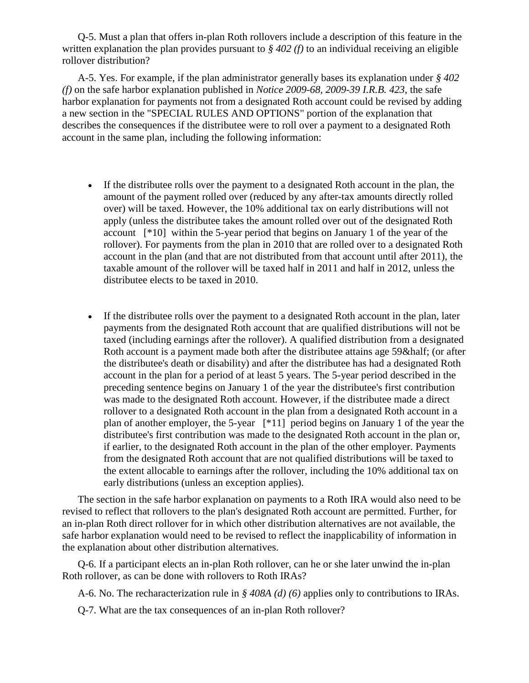Q-5. Must a plan that offers in-plan Roth rollovers include a description of this feature in the written explanation the plan provides pursuant to *§ 402 (f)* to an individual receiving an eligible rollover distribution?

A-5. Yes. For example, if the plan administrator generally bases its explanation under *§ 402 (f)* on the safe harbor explanation published in *Notice 2009-68, 2009-39 I.R.B. 423*, the safe harbor explanation for payments not from a designated Roth account could be revised by adding a new section in the "SPECIAL RULES AND OPTIONS" portion of the explanation that describes the consequences if the distributee were to roll over a payment to a designated Roth account in the same plan, including the following information:

- If the distributee rolls over the payment to a designated Roth account in the plan, the amount of the payment rolled over (reduced by any after-tax amounts directly rolled over) will be taxed. However, the 10% additional tax on early distributions will not apply (unless the distributee takes the amount rolled over out of the designated Roth account [\*10] within the 5-year period that begins on January 1 of the year of the rollover). For payments from the plan in 2010 that are rolled over to a designated Roth account in the plan (and that are not distributed from that account until after 2011), the taxable amount of the rollover will be taxed half in 2011 and half in 2012, unless the distributee elects to be taxed in 2010.
- If the distributee rolls over the payment to a designated Roth account in the plan, later payments from the designated Roth account that are qualified distributions will not be taxed (including earnings after the rollover). A qualified distribution from a designated Roth account is a payment made both after the distributee attains age 59& half; (or after the distributee's death or disability) and after the distributee has had a designated Roth account in the plan for a period of at least 5 years. The 5-year period described in the preceding sentence begins on January 1 of the year the distributee's first contribution was made to the designated Roth account. However, if the distributee made a direct rollover to a designated Roth account in the plan from a designated Roth account in a plan of another employer, the 5-year [\*11] period begins on January 1 of the year the distributee's first contribution was made to the designated Roth account in the plan or, if earlier, to the designated Roth account in the plan of the other employer. Payments from the designated Roth account that are not qualified distributions will be taxed to the extent allocable to earnings after the rollover, including the 10% additional tax on early distributions (unless an exception applies).

The section in the safe harbor explanation on payments to a Roth IRA would also need to be revised to reflect that rollovers to the plan's designated Roth account are permitted. Further, for an in-plan Roth direct rollover for in which other distribution alternatives are not available, the safe harbor explanation would need to be revised to reflect the inapplicability of information in the explanation about other distribution alternatives.

Q-6. If a participant elects an in-plan Roth rollover, can he or she later unwind the in-plan Roth rollover, as can be done with rollovers to Roth IRAs?

A-6. No. The recharacterization rule in *§ 408A (d) (6)* applies only to contributions to IRAs.

Q-7. What are the tax consequences of an in-plan Roth rollover?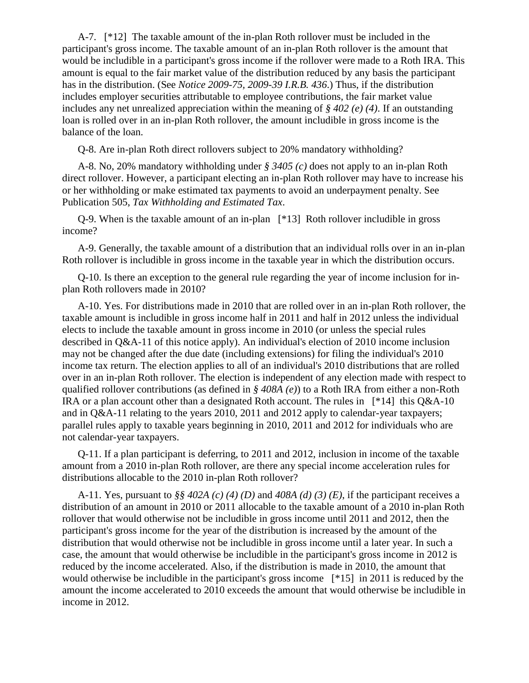A-7. [\*12] The taxable amount of the in-plan Roth rollover must be included in the participant's gross income. The taxable amount of an in-plan Roth rollover is the amount that would be includible in a participant's gross income if the rollover were made to a Roth IRA. This amount is equal to the fair market value of the distribution reduced by any basis the participant has in the distribution. (See *Notice 2009-75, 2009-39 I.R.B. 436*.) Thus, if the distribution includes employer securities attributable to employee contributions, the fair market value includes any net unrealized appreciation within the meaning of *§ 402 (e) (4)*. If an outstanding loan is rolled over in an in-plan Roth rollover, the amount includible in gross income is the balance of the loan.

Q-8. Are in-plan Roth direct rollovers subject to 20% mandatory withholding?

A-8. No, 20% mandatory withholding under *§ 3405 (c)* does not apply to an in-plan Roth direct rollover. However, a participant electing an in-plan Roth rollover may have to increase his or her withholding or make estimated tax payments to avoid an underpayment penalty. See Publication 505, *Tax Withholding and Estimated Tax*.

Q-9. When is the taxable amount of an in-plan [\*13] Roth rollover includible in gross income?

A-9. Generally, the taxable amount of a distribution that an individual rolls over in an in-plan Roth rollover is includible in gross income in the taxable year in which the distribution occurs.

Q-10. Is there an exception to the general rule regarding the year of income inclusion for inplan Roth rollovers made in 2010?

A-10. Yes. For distributions made in 2010 that are rolled over in an in-plan Roth rollover, the taxable amount is includible in gross income half in 2011 and half in 2012 unless the individual elects to include the taxable amount in gross income in 2010 (or unless the special rules described in Q&A-11 of this notice apply). An individual's election of 2010 income inclusion may not be changed after the due date (including extensions) for filing the individual's 2010 income tax return. The election applies to all of an individual's 2010 distributions that are rolled over in an in-plan Roth rollover. The election is independent of any election made with respect to qualified rollover contributions (as defined in *§ 408A (e)*) to a Roth IRA from either a non-Roth IRA or a plan account other than a designated Roth account. The rules in [\*14] this Q&A-10 and in Q&A-11 relating to the years 2010, 2011 and 2012 apply to calendar-year taxpayers; parallel rules apply to taxable years beginning in 2010, 2011 and 2012 for individuals who are not calendar-year taxpayers.

Q-11. If a plan participant is deferring, to 2011 and 2012, inclusion in income of the taxable amount from a 2010 in-plan Roth rollover, are there any special income acceleration rules for distributions allocable to the 2010 in-plan Roth rollover?

A-11. Yes, pursuant to *§§ 402A (c) (4) (D)* and *408A (d) (3) (E)*, if the participant receives a distribution of an amount in 2010 or 2011 allocable to the taxable amount of a 2010 in-plan Roth rollover that would otherwise not be includible in gross income until 2011 and 2012, then the participant's gross income for the year of the distribution is increased by the amount of the distribution that would otherwise not be includible in gross income until a later year. In such a case, the amount that would otherwise be includible in the participant's gross income in 2012 is reduced by the income accelerated. Also, if the distribution is made in 2010, the amount that would otherwise be includible in the participant's gross income [\*15] in 2011 is reduced by the amount the income accelerated to 2010 exceeds the amount that would otherwise be includible in income in 2012.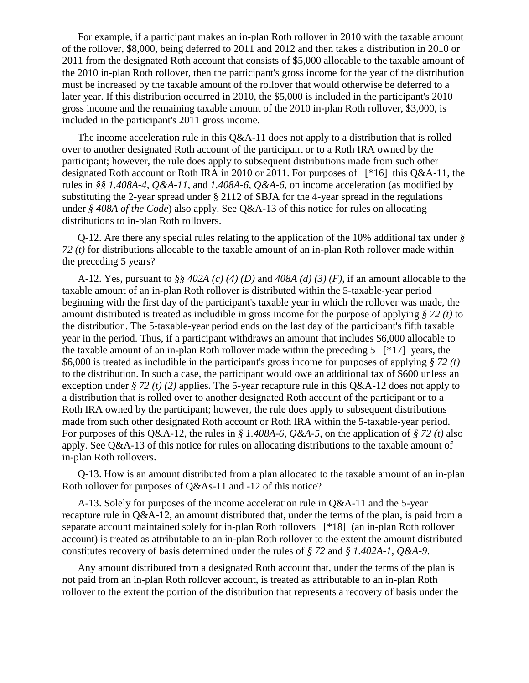For example, if a participant makes an in-plan Roth rollover in 2010 with the taxable amount of the rollover, \$8,000, being deferred to 2011 and 2012 and then takes a distribution in 2010 or 2011 from the designated Roth account that consists of \$5,000 allocable to the taxable amount of the 2010 in-plan Roth rollover, then the participant's gross income for the year of the distribution must be increased by the taxable amount of the rollover that would otherwise be deferred to a later year. If this distribution occurred in 2010, the \$5,000 is included in the participant's 2010 gross income and the remaining taxable amount of the 2010 in-plan Roth rollover, \$3,000, is included in the participant's 2011 gross income.

The income acceleration rule in this Q&A-11 does not apply to a distribution that is rolled over to another designated Roth account of the participant or to a Roth IRA owned by the participant; however, the rule does apply to subsequent distributions made from such other designated Roth account or Roth IRA in 2010 or 2011. For purposes of [\*16] this Q&A-11, the rules in *§§ 1.408A-4, Q&A-11*, and *1.408A-6, Q&A-6*, on income acceleration (as modified by substituting the 2-year spread under § 2112 of SBJA for the 4-year spread in the regulations under *§ 408A of the Code*) also apply. See Q&A-13 of this notice for rules on allocating distributions to in-plan Roth rollovers.

Q-12. Are there any special rules relating to the application of the 10% additional tax under *§ 72 (t)* for distributions allocable to the taxable amount of an in-plan Roth rollover made within the preceding 5 years?

A-12. Yes, pursuant to *§§ 402A (c) (4) (D)* and *408A (d) (3) (F)*, if an amount allocable to the taxable amount of an in-plan Roth rollover is distributed within the 5-taxable-year period beginning with the first day of the participant's taxable year in which the rollover was made, the amount distributed is treated as includible in gross income for the purpose of applying *§ 72 (t)* to the distribution. The 5-taxable-year period ends on the last day of the participant's fifth taxable year in the period. Thus, if a participant withdraws an amount that includes \$6,000 allocable to the taxable amount of an in-plan Roth rollover made within the preceding 5 [\*17] years, the \$6,000 is treated as includible in the participant's gross income for purposes of applying *§ 72 (t)* to the distribution. In such a case, the participant would owe an additional tax of \$600 unless an exception under *§ 72 (t) (2)* applies. The 5-year recapture rule in this Q&A-12 does not apply to a distribution that is rolled over to another designated Roth account of the participant or to a Roth IRA owned by the participant; however, the rule does apply to subsequent distributions made from such other designated Roth account or Roth IRA within the 5-taxable-year period. For purposes of this Q&A-12, the rules in *§ 1.408A-6, Q&A-5*, on the application of *§ 72 (t)* also apply. See Q&A-13 of this notice for rules on allocating distributions to the taxable amount of in-plan Roth rollovers.

Q-13. How is an amount distributed from a plan allocated to the taxable amount of an in-plan Roth rollover for purposes of Q&As-11 and -12 of this notice?

A-13. Solely for purposes of the income acceleration rule in Q&A-11 and the 5-year recapture rule in Q&A-12, an amount distributed that, under the terms of the plan, is paid from a separate account maintained solely for in-plan Roth rollovers [\*18] (an in-plan Roth rollover account) is treated as attributable to an in-plan Roth rollover to the extent the amount distributed constitutes recovery of basis determined under the rules of *§ 72* and *§ 1.402A-1, Q&A-9*.

Any amount distributed from a designated Roth account that, under the terms of the plan is not paid from an in-plan Roth rollover account, is treated as attributable to an in-plan Roth rollover to the extent the portion of the distribution that represents a recovery of basis under the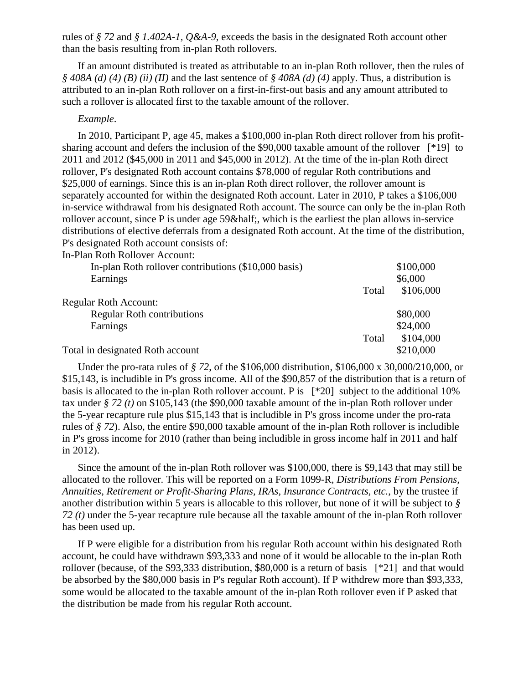rules of *§ 72* and *§ 1.402A-1, Q&A-9*, exceeds the basis in the designated Roth account other than the basis resulting from in-plan Roth rollovers.

If an amount distributed is treated as attributable to an in-plan Roth rollover, then the rules of *§ 408A (d) (4) (B) (ii) (II)* and the last sentence of *§ 408A (d) (4)* apply. Thus, a distribution is attributed to an in-plan Roth rollover on a first-in-first-out basis and any amount attributed to such a rollover is allocated first to the taxable amount of the rollover.

#### *Example*.

In 2010, Participant P, age 45, makes a \$100,000 in-plan Roth direct rollover from his profitsharing account and defers the inclusion of the \$90,000 taxable amount of the rollover [\*19] to 2011 and 2012 (\$45,000 in 2011 and \$45,000 in 2012). At the time of the in-plan Roth direct rollover, P's designated Roth account contains \$78,000 of regular Roth contributions and \$25,000 of earnings. Since this is an in-plan Roth direct rollover, the rollover amount is separately accounted for within the designated Roth account. Later in 2010, P takes a \$106,000 in-service withdrawal from his designated Roth account. The source can only be the in-plan Roth rollover account, since P is under age 59& half; which is the earliest the plan allows in-service distributions of elective deferrals from a designated Roth account. At the time of the distribution, P's designated Roth account consists of:

In-Plan Roth Rollover Account:

| In-plan Roth rollover contributions (\$10,000 basis) |       | \$100,000 |
|------------------------------------------------------|-------|-----------|
| Earnings                                             |       | \$6,000   |
|                                                      | Total | \$106,000 |
| <b>Regular Roth Account:</b>                         |       |           |
| <b>Regular Roth contributions</b>                    |       | \$80,000  |
| Earnings                                             |       | \$24,000  |
|                                                      | Total | \$104,000 |
| Total in designated Roth account                     |       | \$210,000 |
|                                                      |       |           |

Under the pro-rata rules of *§ 72*, of the \$106,000 distribution, \$106,000 x 30,000/210,000, or \$15,143, is includible in P's gross income. All of the \$90,857 of the distribution that is a return of basis is allocated to the in-plan Roth rollover account. P is [\*20] subject to the additional 10% tax under *§ 72 (t)* on \$105,143 (the \$90,000 taxable amount of the in-plan Roth rollover under the 5-year recapture rule plus \$15,143 that is includible in P's gross income under the pro-rata rules of *§ 72*). Also, the entire \$90,000 taxable amount of the in-plan Roth rollover is includible in P's gross income for 2010 (rather than being includible in gross income half in 2011 and half in 2012).

Since the amount of the in-plan Roth rollover was \$100,000, there is \$9,143 that may still be allocated to the rollover. This will be reported on a Form 1099-R, *Distributions From Pensions, Annuities, Retirement or Profit-Sharing Plans, IRAs, Insurance Contracts, etc.*, by the trustee if another distribution within 5 years is allocable to this rollover, but none of it will be subject to *§ 72 (t)* under the 5-year recapture rule because all the taxable amount of the in-plan Roth rollover has been used up.

If P were eligible for a distribution from his regular Roth account within his designated Roth account, he could have withdrawn \$93,333 and none of it would be allocable to the in-plan Roth rollover (because, of the \$93,333 distribution, \$80,000 is a return of basis [\*21] and that would be absorbed by the \$80,000 basis in P's regular Roth account). If P withdrew more than \$93,333, some would be allocated to the taxable amount of the in-plan Roth rollover even if P asked that the distribution be made from his regular Roth account.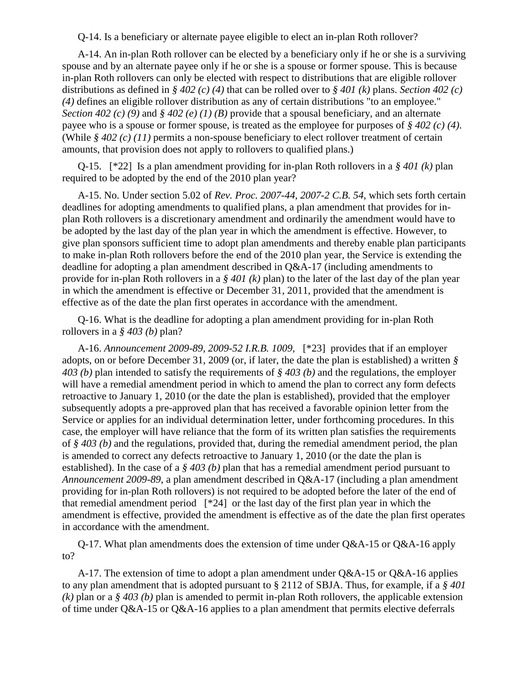Q-14. Is a beneficiary or alternate payee eligible to elect an in-plan Roth rollover?

A-14. An in-plan Roth rollover can be elected by a beneficiary only if he or she is a surviving spouse and by an alternate payee only if he or she is a spouse or former spouse. This is because in-plan Roth rollovers can only be elected with respect to distributions that are eligible rollover distributions as defined in *§ 402 (c) (4)* that can be rolled over to *§ 401 (k)* plans. *Section 402 (c) (4)* defines an eligible rollover distribution as any of certain distributions "to an employee." *Section 402 (c) (9)* and *§ 402 (e) (1) (B)* provide that a spousal beneficiary, and an alternate payee who is a spouse or former spouse, is treated as the employee for purposes of *§ 402 (c) (4)*. (While *§ 402 (c) (11)* permits a non-spouse beneficiary to elect rollover treatment of certain amounts, that provision does not apply to rollovers to qualified plans.)

Q-15. [\*22] Is a plan amendment providing for in-plan Roth rollovers in a *§ 401 (k)* plan required to be adopted by the end of the 2010 plan year?

A-15. No. Under section 5.02 of *Rev. Proc. 2007-44, 2007-2 C.B. 54*, which sets forth certain deadlines for adopting amendments to qualified plans, a plan amendment that provides for inplan Roth rollovers is a discretionary amendment and ordinarily the amendment would have to be adopted by the last day of the plan year in which the amendment is effective. However, to give plan sponsors sufficient time to adopt plan amendments and thereby enable plan participants to make in-plan Roth rollovers before the end of the 2010 plan year, the Service is extending the deadline for adopting a plan amendment described in Q&A-17 (including amendments to provide for in-plan Roth rollovers in a *§ 401 (k)* plan) to the later of the last day of the plan year in which the amendment is effective or December 31, 2011, provided that the amendment is effective as of the date the plan first operates in accordance with the amendment.

Q-16. What is the deadline for adopting a plan amendment providing for in-plan Roth rollovers in a *§ 403 (b)* plan?

A-16. *Announcement 2009-89, 2009-52 I.R.B. 1009*, [\*23] provides that if an employer adopts, on or before December 31, 2009 (or, if later, the date the plan is established) a written *§ 403 (b)* plan intended to satisfy the requirements of *§ 403 (b)* and the regulations, the employer will have a remedial amendment period in which to amend the plan to correct any form defects retroactive to January 1, 2010 (or the date the plan is established), provided that the employer subsequently adopts a pre-approved plan that has received a favorable opinion letter from the Service or applies for an individual determination letter, under forthcoming procedures. In this case, the employer will have reliance that the form of its written plan satisfies the requirements of *§ 403 (b)* and the regulations, provided that, during the remedial amendment period, the plan is amended to correct any defects retroactive to January 1, 2010 (or the date the plan is established). In the case of a *§ 403 (b)* plan that has a remedial amendment period pursuant to *Announcement 2009-89*, a plan amendment described in Q&A-17 (including a plan amendment providing for in-plan Roth rollovers) is not required to be adopted before the later of the end of that remedial amendment period [\*24] or the last day of the first plan year in which the amendment is effective, provided the amendment is effective as of the date the plan first operates in accordance with the amendment.

Q-17. What plan amendments does the extension of time under Q&A-15 or Q&A-16 apply to?

A-17. The extension of time to adopt a plan amendment under Q&A-15 or Q&A-16 applies to any plan amendment that is adopted pursuant to § 2112 of SBJA. Thus, for example, if a *§ 401 (k)* plan or a *§ 403 (b)* plan is amended to permit in-plan Roth rollovers, the applicable extension of time under Q&A-15 or Q&A-16 applies to a plan amendment that permits elective deferrals